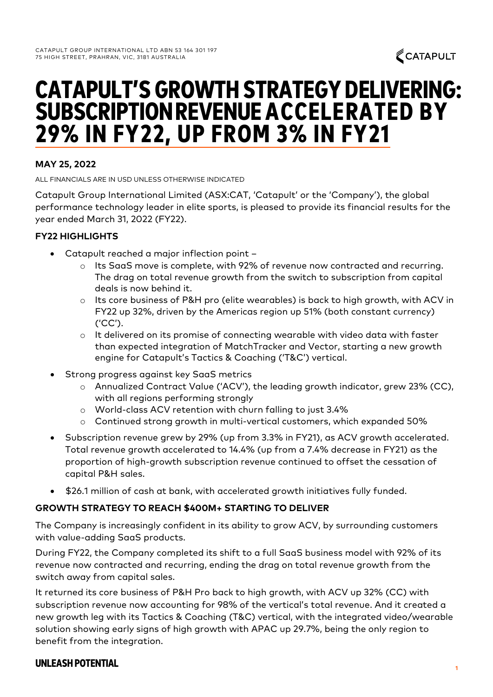# 29% IN FY22, UP FROM 3% IN FY21 SUBSCRIPTIONREVENUE ACCELERATED BY CATAPULT'S GROWTH STRATEGY DELIVERING:

## **MAY 25, 2022**

ALL FINANCIALS ARE IN USD UNLESS OTHERWISE INDICATED

Catapult Group International Limited (ASX:CAT, 'Catapult' or the 'Company'), the global performance technology leader in elite sports, is pleased to provide its financial results for the year ended March 31, 2022 (FY22).

## **FY22 HIGHLIGHTS**

- Catapult reached a major inflection point
	- o Its SaaS move is complete, with 92% of revenue now contracted and recurring. The drag on total revenue growth from the switch to subscription from capital deals is now behind it.
	- o Its core business of P&H pro (elite wearables) is back to high growth, with ACV in FY22 up 32%, driven by the Americas region up 51% (both constant currency) ('CC').
	- o It delivered on its promise of connecting wearable with video data with faster than expected integration of MatchTracker and Vector, starting a new growth engine for Catapult's Tactics & Coaching ('T&C') vertical.
- Strong progress against key SaaS metrics
	- o Annualized Contract Value ('ACV'), the leading growth indicator, grew 23% (CC), with all regions performing strongly
	- o World-class ACV retention with churn falling to just 3.4%
	- o Continued strong growth in multi-vertical customers, which expanded 50%
- Subscription revenue grew by 29% (up from 3.3% in FY21), as ACV growth accelerated. Total revenue growth accelerated to 14.4% (up from a 7.4% decrease in FY21) as the proportion of high-growth subscription revenue continued to offset the cessation of capital P&H sales.
- \$26.1 million of cash at bank, with accelerated growth initiatives fully funded.

#### **GROWTH STRATEGY TO REACH \$400M+ STARTING TO DELIVER**

The Company is increasingly confident in its ability to grow ACV, by surrounding customers with value-adding SaaS products.

During FY22, the Company completed its shift to a full SaaS business model with 92% of its revenue now contracted and recurring, ending the drag on total revenue growth from the switch away from capital sales.

It returned its core business of P&H Pro back to high growth, with ACV up 32% (CC) with subscription revenue now accounting for 98% of the vertical's total revenue. And it created a new growth leg with its Tactics & Coaching (T&C) vertical, with the integrated video/wearable solution showing early signs of high growth with APAC up 29.7%, being the only region to benefit from the integration.

## UNLEASH POTENTIAL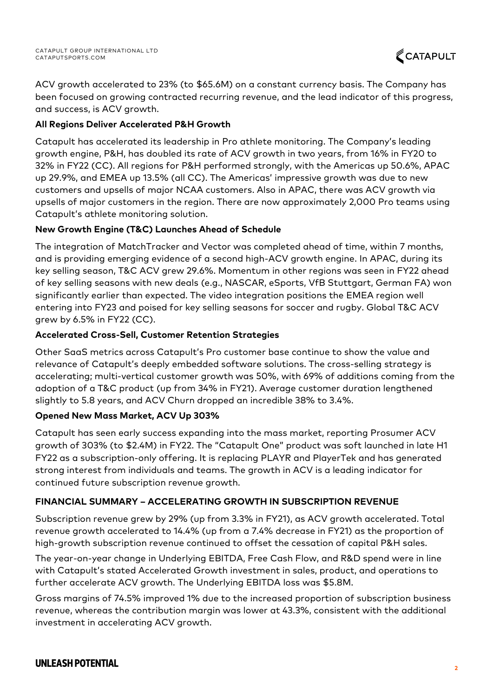ACV growth accelerated to 23% (to \$65.6M) on a constant currency basis. The Company has been focused on growing contracted recurring revenue, and the lead indicator of this progress, and success, is ACV growth.

## **All Regions Deliver Accelerated P&H Growth**

Catapult has accelerated its leadership in Pro athlete monitoring. The Company's leading growth engine, P&H, has doubled its rate of ACV growth in two years, from 16% in FY20 to 32% in FY22 (CC). All regions for P&H performed strongly, with the Americas up 50.6%, APAC up 29.9%, and EMEA up 13.5% (all CC). The Americas' impressive growth was due to new customers and upsells of major NCAA customers. Also in APAC, there was ACV growth via upsells of major customers in the region. There are now approximately 2,000 Pro teams using Catapult's athlete monitoring solution.

## **New Growth Engine (T&C) Launches Ahead of Schedule**

The integration of MatchTracker and Vector was completed ahead of time, within 7 months, and is providing emerging evidence of a second high-ACV growth engine. In APAC, during its key selling season, T&C ACV grew 29.6%. Momentum in other regions was seen in FY22 ahead of key selling seasons with new deals (e.g., NASCAR, eSports, VfB Stuttgart, German FA) won significantly earlier than expected. The video integration positions the EMEA region well entering into FY23 and poised for key selling seasons for soccer and rugby. Global T&C ACV grew by 6.5% in FY22 (CC).

## **Accelerated Cross-Sell, Customer Retention Strategies**

Other SaaS metrics across Catapult's Pro customer base continue to show the value and relevance of Catapult's deeply embedded software solutions. The cross-selling strategy is accelerating; multi-vertical customer growth was 50%, with 69% of additions coming from the adoption of a T&C product (up from 34% in FY21). Average customer duration lengthened slightly to 5.8 years, and ACV Churn dropped an incredible 38% to 3.4%.

## **Opened New Mass Market, ACV Up 303%**

Catapult has seen early success expanding into the mass market, reporting Prosumer ACV growth of 303% (to \$2.4M) in FY22. The "Catapult One" product was soft launched in late H1 FY22 as a subscription-only offering. It is replacing PLAYR and PlayerTek and has generated strong interest from individuals and teams. The growth in ACV is a leading indicator for continued future subscription revenue growth.

## **FINANCIAL SUMMARY – ACCELERATING GROWTH IN SUBSCRIPTION REVENUE**

Subscription revenue grew by 29% (up from 3.3% in FY21), as ACV growth accelerated. Total revenue growth accelerated to 14.4% (up from a 7.4% decrease in FY21) as the proportion of high-growth subscription revenue continued to offset the cessation of capital P&H sales.

The year-on-year change in Underlying EBITDA, Free Cash Flow, and R&D spend were in line with Catapult's stated Accelerated Growth investment in sales, product, and operations to further accelerate ACV growth. The Underlying EBITDA loss was \$5.8M.

Gross margins of 74.5% improved 1% due to the increased proportion of subscription business revenue, whereas the contribution margin was lower at 43.3%, consistent with the additional investment in accelerating ACV growth.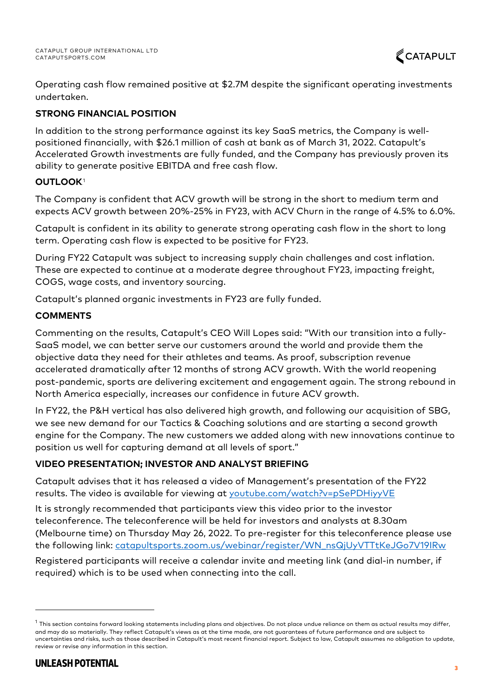Operating cash flow remained positive at \$2.7M despite the significant operating investments undertaken.

## **STRONG FINANCIAL POSITION**

In addition to the strong performance against its key SaaS metrics, the Company is wellpositioned financially, with \$26.1 million of cash at bank as of March 31, 2022. Catapult's Accelerated Growth investments are fully funded, and the Company has previously proven its ability to generate positive EBITDA and free cash flow.

## **OUTLOOK**<sup>1</sup>

The Company is confident that ACV growth will be strong in the short to medium term and expects ACV growth between 20%-25% in FY23, with ACV Churn in the range of 4.5% to 6.0%.

Catapult is confident in its ability to generate strong operating cash flow in the short to long term. Operating cash flow is expected to be positive for FY23.

During FY22 Catapult was subject to increasing supply chain challenges and cost inflation. These are expected to continue at a moderate degree throughout FY23, impacting freight, COGS, wage costs, and inventory sourcing.

Catapult's planned organic investments in FY23 are fully funded.

## **COMMENTS**

Commenting on the results, Catapult's CEO Will Lopes said: "With our transition into a fully-SaaS model, we can better serve our customers around the world and provide them the objective data they need for their athletes and teams. As proof, subscription revenue accelerated dramatically after 12 months of strong ACV growth. With the world reopening post-pandemic, sports are delivering excitement and engagement again. The strong rebound in North America especially, increases our confidence in future ACV growth.

In FY22, the P&H vertical has also delivered high growth, and following our acquisition of SBG, we see new demand for our Tactics & Coaching solutions and are starting a second growth engine for the Company. The new customers we added along with new innovations continue to position us well for capturing demand at all levels of sport."

## **VIDEO PRESENTATION; INVESTOR AND ANALYST BRIEFING**

Catapult advises that it has released a video of Management's presentation of the FY22 results. The video is available for viewing at [youtube.com/watch?v=pSePDHiyyVE](https://www.youtube.com/watch?v=pSePDHiyyVE)

It is strongly recommended that participants view this video prior to the investor teleconference. The teleconference will be held for investors and analysts at 8.30am (Melbourne time) on Thursday May 26, 2022. To pre-register for this teleconference please use the following link: [catapultsports.zoom.us/webinar/register/WN\\_nsQjUyVTTtKeJGo7V19IRw](https://catapultsports.zoom.us/webinar/register/WN_nsQjUyVTTtKeJGo7V19IRw)

Registered participants will receive a calendar invite and meeting link (and dial-in number, if required) which is to be used when connecting into the call.

 $^1$  This section contains forward looking statements including plans and objectives. Do not place undue reliance on them as actual results may differ, and may do so materially. They reflect Catapult's views as at the time made, are not guarantees of future performance and are subject to uncertainties and risks, such as those described in Catapult's most recent financial report. Subject to law, Catapult assumes no obligation to update, review or revise any information in this section.